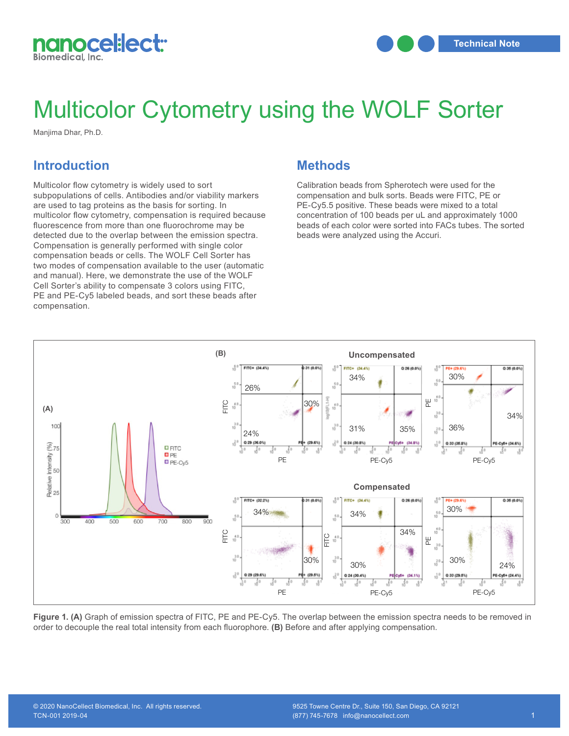

## Multicolor Cytometry using the WOLF Sorter

Manjima Dhar, Ph.D.

## **Introduction**

PE and PE-Cy<br>compensation. Multicolor flow cytometry is widely used to sort subpopulations of cells. Antibodies and/or viability markers are used to tag proteins as the basis for sorting. In multicolor flow cytometry, compensation is required because fluorescence from more than one fluorochrome may be detected due to the overlap between the emission spectra. Compensation is generally performed with single color compensation beads or cells. The WOLF Cell Sorter has two modes of compensation available to the user (automatic and manual). Here, we demonstrate the use of the WOLF Cell Sorter's ability to compensate 3 colors using FITC, PE and PE-Cy5 labeled beads, and sort these beads after

## **Methods**

Calibration beads from Spherotech were used for the compensation and bulk sorts. Beads were FITC, PE or PE-Cy5.5 positive. These beads were mixed to a total concentration of 100 beads per uL and approximately 1000 beads of each color were sorted into FACs tubes. The sorted beads were analyzed using the Accuri.



order to decouple the real total intensity from each fluorophore. **(B)** Before and after applying compensation. Figure 1. (A) Graph of emission spectra of FITC, PE and PE-Cy5. The overlap between the emission spectra needs to be removed in